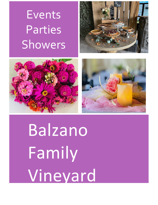# **Events** Parties Showers







Balzano Family Vineyard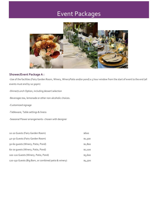# Event Packages



### **Shower/Event Package A :**

-Use of the facilities (Fairy Garden Room, Winery, WineryPatio and/or pond) a 3 hour window from the start of event to the end (all events must end by 10:30pm)

- -Dinner/Lunch Option, including dessert selection
- -Beverages tea, lemonade or other non-alcoholic choices.
- -Customized signage
- -Tableware, Table settings & linens
- -Seasonal Flower arrangements- chosen with designer

| 10-20 Guests (Fairy Garden Room)                      | \$600   |
|-------------------------------------------------------|---------|
| 40-50 Guests (Fairy Garden Room)                      | \$1,500 |
| 50-60 quests (Winery, Patio, Pond)                    | \$1,800 |
| 60-70 quests (Winery, Patio, Pond)                    | \$2,100 |
| 100-120 Guests (Winery, Patio, Pond)                  | \$3,600 |
| 120-150 Guests (Big Barn, or combined patio & winery) | \$4,500 |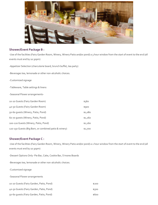

#### **Shower/Event Package B :**

-Use of the facilities (Fairy Garden Room, Winery, Winery Patio and/or pond) a 3 hour window from the start of event to the end (all events must end by 10:30pm)

-Appetizer Selection (charcuterie board, brunch buffet, tea party)

-Beverages tea, lemonade or other non-alcoholic choices.

-Customized signage

-Tableware, Table settings & linens

-Seasonal Flower arrangements-

| 10-20 Guests (Fairy Garden Room)                      | \$360   |
|-------------------------------------------------------|---------|
| 40-50 Guests (Fairy Garden Room)                      | \$900   |
| 50-60 quests (Winery, Patio, Pond)                    | \$1,080 |
| 60-70 quests (Winery, Patio, Pond)                    | \$1,260 |
| 100-120 Guests (Winery, Patio, Pond)                  | \$2,160 |
| 120-150 Guests (Big Barn, or combined patio & winery) | \$2,700 |

#### **Shower/Event Package C :**

-Use of the facilities (Fairy Garden Room, Winery, Winery Patio and/or pond) a 2 hour window from the start of event to the end (all events must end by 10:30pm)

-Dessert Options Only- Pie Bar, Cake, Cookie Bar, S'mores Boards

-Beverages tea, lemonade or other non-alcoholic choices.

- -Customized signage
- -Seasonal Flower arrangements

| 10-20 Guests (Fairy Garden, Patio, Pond) | \$200 |
|------------------------------------------|-------|
| 40-50 Guests (Fairy Garden, Patio, Pond) | \$500 |
| 50-60 guests (Fairy Garden, Patio, Pond) | \$600 |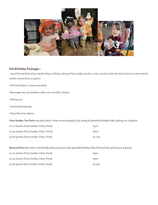

# **Kid Birthday Packages :**

-Use of the facilities (Fairy Garden Room, Winery, Winery Patio and/or pond) a 2 hour window from the start of event to the end (all events must end by 10:30pm)

-Kid Food Option- (menu provided)

-Beverages tea, lemonade or other non-alcoholic choices.

-Petting zoo

-Customized signage

-Party Décor for theme-

**Fairy Garden Tea Party-***tea party décor, three course tea party, fairy wings for guests& Birthday child, petting zoo, & games*

| 10-20 Guests (Fairy Garden, Patio, Pond) | \$400   |
|------------------------------------------|---------|
| 20-30 Guests (Fairy Garden, Patio, Pond) | \$600   |
| 50-60 quests (Fairy Garden, Patio, Pond) | \$1,200 |

**Barnyard Fun-***farm décor, kid friendly food, party favors for guests& Birthday child,Fishing Pond, petting zoo, & games*

| 10-20 Guests (Fairy Garden, Patio, Pond) | \$300   |
|------------------------------------------|---------|
| 20-30 Guests (Fairy Garden, Patio, Pond) | \$500   |
| 50-60 quests (Fairy Garden, Patio, Pond) | \$1,000 |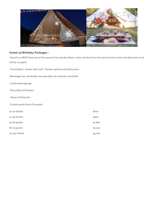

## **Sweet 16 Birthday Packages :**

-Use of our NEW Party tent at the pond or Fairy Garden Room 2 hour window from the start of event to the end (all events must end by 10:30pm)

-Food Option- chosen with chef - Premier options will add to price.

-Beverages tea, lemonade, two specialty non-alcoholic mocktails.

- -Customized signage
- -Party Décor & Flowers
- Music at Party site
- -Custom party favors for guests

| 10-20 Guests  | \$600   |
|---------------|---------|
| 20-30 Guests  | \$900   |
| 50-60 guests  | \$1,800 |
| 60-75 guests  | \$2,250 |
| 75-100 Guests | \$3,000 |